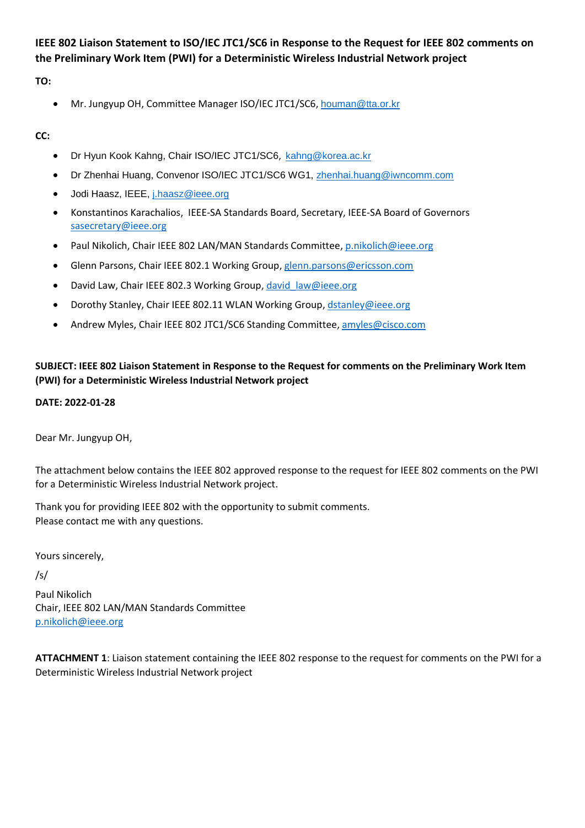# **IEEE 802 Liaison Statement to ISO/IEC JTC1/SC6 in Response to the Request for IEEE 802 comments on the Preliminary Work Item (PWI) for a Deterministic Wireless Industrial Network project**

## **TO:**

Mr. Jungyup OH, Committee Manager ISO/IEC JTC1/SC6, [houman@tta.or.kr](mailto:houman@tta.or.kr)

## **CC:**

- Dr Hyun Kook Kahng, Chair ISO/IEC JTC1/SC6, [kahng@korea.ac.kr](mailto:kahng@korea.ac.kr)
- Dr Zhenhai Huang, Convenor ISO/IEC JTC1/SC6 WG1, [zhenhai.huang@iwncomm.com](mailto:zhenhai.huang@iwncomm.com)
- Jodi Haasz, IEEE, [j.haasz@ieee.org](mailto:j.haasz@ieee.org)
- Konstantinos Karachalios, IEEE-SA Standards Board, Secretary, IEEE-SA Board of Governors [sasecretary@ieee.org](mailto:sasecretary@ieee.org)
- Paul Nikolich, Chair IEEE 802 LAN/MAN Standards Committee[, p.nikolich@ieee.org](mailto:p.nikolich@ieee.org)
- Glenn Parsons, Chair IEEE 802.1 Working Group[, glenn.parsons@ericsson.com](mailto:glenn.parsons@ericsson.com)
- David Law, Chair IEEE 802.3 Working Group, david law@ieee.org
- Dorothy Stanley, Chair IEEE 802.11 WLAN Working Group[, dstanley@ieee.org](mailto:dstanley@ieee.org)
- Andrew Myles, Chair IEEE 802 JTC1/SC6 Standing Committee, [amyles@cisco.com](mailto:amyles@cisco.com)

## **SUBJECT: IEEE 802 Liaison Statement in Response to the Request for comments on the Preliminary Work Item (PWI) for a Deterministic Wireless Industrial Network project**

### **DATE: 2022-01-28**

Dear Mr. Jungyup OH,

The attachment below contains the IEEE 802 approved response to the request for IEEE 802 comments on the PWI for a Deterministic Wireless Industrial Network project.

Thank you for providing IEEE 802 with the opportunity to submit comments. Please contact me with any questions.

Yours sincerely,

### /s/

Paul Nikolich Chair, IEEE 802 LAN/MAN Standards Committee [p.nikolich@ieee.org](mailto:p.nikolich@ieee.org)

**ATTACHMENT 1**: Liaison statement containing the IEEE 802 response to the request for comments on the PWI for a Deterministic Wireless Industrial Network project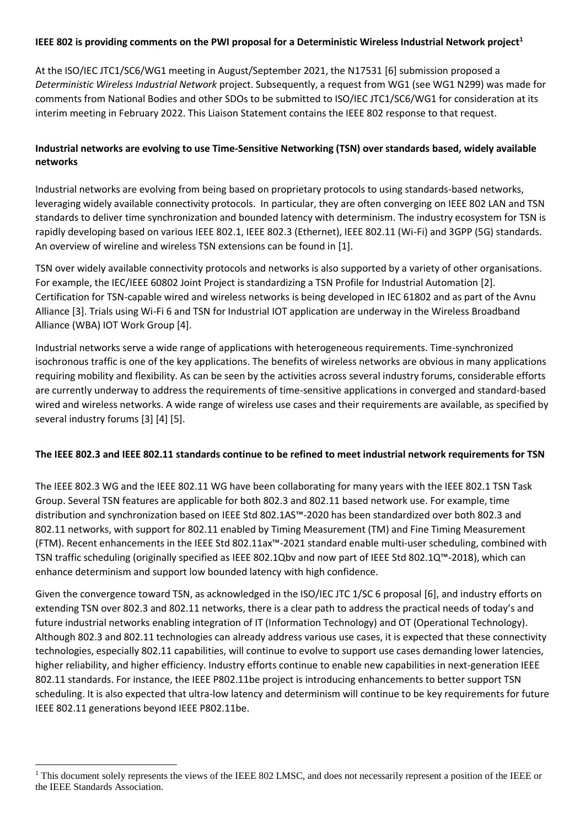#### **IEEE 802 is providing comments on the PWI proposal for a Deterministic Wireless Industrial Network project<sup>1</sup>**

At the ISO/IEC JTC1/SC6/WG1 meeting in August/September 2021, the N1753[1 \[6\]](#page-2-0) submission proposed a *Deterministic Wireless Industrial Network* project. Subsequently, a request from WG1 (see WG1 N299) was made for comments from National Bodies and other SDOs to be submitted to ISO/IEC JTC1/SC6/WG1 for consideration at its interim meeting in February 2022. This Liaison Statement contains the IEEE 802 response to that request.

### **Industrial networks are evolving to use Time-Sensitive Networking (TSN) over standards based, widely available networks**

Industrial networks are evolving from being based on proprietary protocols to using standards-based networks, leveraging widely available connectivity protocols. In particular, they are often converging on IEEE 802 LAN and TSN standards to deliver time synchronization and bounded latency with determinism. The industry ecosystem for TSN is rapidly developing based on various IEEE 802.1, IEEE 802.3 (Ethernet), IEEE 802.11 (Wi-Fi) and 3GPP (5G) standards. An overview of wireline and wireless TSN extensions can be found in [\[1\].](#page-2-1)

TSN over widely available connectivity protocols and networks is also supported by a variety of other organisations. For example, the IEC/IEEE 60802 Joint Project is standardizing a TSN Profile for Industrial Automation [\[2\].](#page-2-2) Certification for TSN-capable wired and wireless networks is being developed in IEC 61802 and as part of the Avnu Allianc[e \[3\].](#page-2-3) Trials using Wi-Fi 6 and TSN for Industrial IOT application are underway in the Wireless Broadband Alliance (WBA) IOT Work Group [\[4\].](#page-2-4)

Industrial networks serve a wide range of applications with heterogeneous requirements. Time-synchronized isochronous traffic is one of the key applications. The benefits of wireless networks are obvious in many applications requiring mobility and flexibility. As can be seen by the activities across several industry forums, considerable efforts are currently underway to address the requirements of time-sensitive applications in converged and standard-based wired and wireless networks. A wide range of wireless use cases and their requirements are available, as specified by several industry forums [\[3\]](#page-2-3) [\[4\]](#page-2-4) [\[5\].](#page-2-5)

#### **The IEEE 802.3 and IEEE 802.11 standards continue to be refined to meet industrial network requirements for TSN**

The IEEE 802.3 WG and the IEEE 802.11 WG have been collaborating for many years with the IEEE 802.1 TSN Task Group. Several TSN features are applicable for both 802.3 and 802.11 based network use. For example, time distribution and synchronization based on IEEE Std 802.1AS™-2020 has been standardized over both 802.3 and 802.11 networks, with support for 802.11 enabled by Timing Measurement (TM) and Fine Timing Measurement (FTM). Recent enhancements in the IEEE Std 802.11ax™-2021 standard enable multi-user scheduling, combined with TSN traffic scheduling (originally specified as IEEE 802.1Qbv and now part of IEEE Std 802.1Q™-2018), which can enhance determinism and support low bounded latency with high confidence.

Given the convergence toward TSN, as acknowledged in the ISO/IEC JTC 1/SC 6 proposal [\[6\],](#page-2-0) and industry efforts on extending TSN over 802.3 and 802.11 networks, there is a clear path to address the practical needs of today's and future industrial networks enabling integration of IT (Information Technology) and OT (Operational Technology). Although 802.3 and 802.11 technologies can already address various use cases, it is expected that these connectivity technologies, especially 802.11 capabilities, will continue to evolve to support use cases demanding lower latencies, higher reliability, and higher efficiency. Industry efforts continue to enable new capabilities in next-generation IEEE 802.11 standards. For instance, the IEEE P802.11be project is introducing enhancements to better support TSN scheduling. It is also expected that ultra-low latency and determinism will continue to be key requirements for future IEEE 802.11 generations beyond IEEE P802.11be.

**.** 

<sup>&</sup>lt;sup>1</sup> This document solely represents the views of the IEEE 802 LMSC, and does not necessarily represent a position of the IEEE or the IEEE Standards Association.